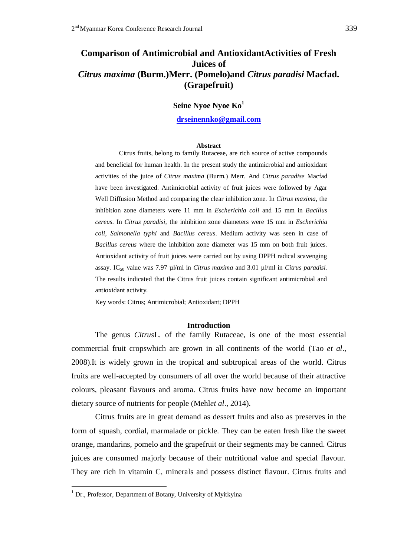# **Comparison of Antimicrobial and AntioxidantActivities of Fresh Juices of**  *Citrus maxima* **(Burm.)Merr. (Pomelo)and** *Citrus paradisi* **Macfad. (Grapefruit)**

**Seine Nyoe Nyoe Ko<sup>1</sup>**

 **[drseinennko@gmail.com](mailto:drseinennko@gmail.com)**

#### **Abstract**

Citrus fruits, belong to family Rutaceae, are rich source of active compounds and beneficial for human health. In the present study the antimicrobial and antioxidant activities of the juice of *Citrus maxima* (Burm.) Merr. And *Citrus paradise* Macfad have been investigated. Antimicrobial activity of fruit juices were followed by Agar Well Diffusion Method and comparing the clear inhibition zone. In *Citrus maxima*, the inhibition zone diameters were 11 mm in *Escherichia coli* and 15 mm in *Bacillus cereus*. In *Citrus paradisi,* the inhibition zone diameters were 15 mm in *Escherichia coli*, *Salmonella typhi* and *Bacillus cereus*. Medium activity was seen in case of *Bacillus cereus* where the inhibition zone diameter was 15 mm on both fruit juices. Antioxidant activity of fruit juices were carried out by using DPPH radical scavenging assay. IC<sup>50</sup> value was 7.97 µl/ml in *Citrus maxima* and 3.01 µl/ml in *Citrus paradisi.*  The results indicated that the Citrus fruit juices contain significant antimicrobial and antioxidant activity.

Key words: Citrus; Antimicrobial; Antioxidant; DPPH

### **Introduction**

The genus *Citrus*L. of the family Rutaceae, is one of the most essential commercial fruit cropswhich are grown in all continents of the world (Tao *et al*., 2008).It is widely grown in the tropical and subtropical areas of the world. Citrus fruits are well-accepted by consumers of all over the world because of their attractive colours, pleasant flavours and aroma. Citrus fruits have now become an important dietary source of nutrients for people (Mehl*et al*., 2014).

Citrus fruits are in great demand as dessert fruits and also as preserves in the form of squash, cordial, marmalade or pickle. They can be eaten fresh like the sweet orange, mandarins, pomelo and the grapefruit or their segments may be canned. Citrus juices are consumed majorly because of their nutritional value and special flavour. They are rich in vitamin C, minerals and possess distinct flavour. Citrus fruits and

<u>.</u>

<sup>&</sup>lt;sup>1</sup> Dr., Professor, Department of Botany, University of Myitkyina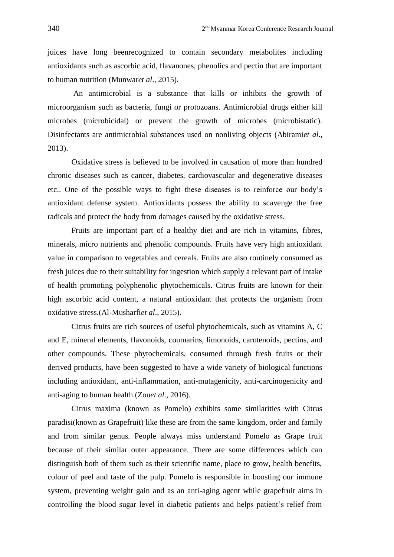juices have long beenrecognized to contain secondary metabolites including antioxidants such as ascorbic acid, flavanones, phenolics and pectin that are important to human nutrition (Munwar*et al*., 2015).

An antimicrobial is a substance that kills or inhibits the growth of microorganism such as bacteria, fungi or protozoans. Antimicrobial drugs either kill microbes (microbicidal) or prevent the growth of microbes (microbistatic). Disinfectants are antimicrobial substances used on nonliving objects (Abirami*et al*., 2013).

Oxidative stress is believed to be involved in causation of more than hundred chronic diseases such as cancer, diabetes, cardiovascular and degenerative diseases etc.. One of the possible ways to fight these diseases is to reinforce our body's antioxidant defense system. Antioxidants possess the ability to scavenge the free radicals and protect the body from damages caused by the oxidative stress.

Fruits are important part of a healthy diet and are rich in vitamins, fibres, minerals, micro nutrients and phenolic compounds. Fruits have very high antioxidant value in comparison to vegetables and cereals. Fruits are also routinely consumed as fresh juices due to their suitability for ingestion which supply a relevant part of intake of health promoting polyphenolic phytochemicals. Citrus fruits are known for their high ascorbic acid content, a natural antioxidant that protects the organism from oxidative stress.(Al-Musharfi*et al*., 2015).

Citrus fruits are rich sources of useful phytochemicals, such as vitamins A, C and E, mineral elements, flavonoids, coumarins, limonoids, carotenoids, pectins, and other compounds. These phytochemicals, consumed through fresh fruits or their derived products, have been suggested to have a wide variety of biological functions including antioxidant, anti-inflammation, anti-mutagenicity, anti-carcinogenicity and anti-aging to human health (Zou*et al*., 2016).

Citrus maxima (known as Pomelo) exhibits some similarities with Citrus paradisi(known as Grapefruit) like these are from the same kingdom, order and family and from similar genus. People always miss understand Pomelo as Grape fruit because of their similar outer appearance. There are some differences which can distinguish both of them such as their scientific name, place to grow, health benefits, colour of peel and taste of the pulp. Pomelo is responsible in boosting our immune system, preventing weight gain and as an anti-aging agent while grapefruit aims in controlling the blood sugar level in diabetic patients and helps patient's relief from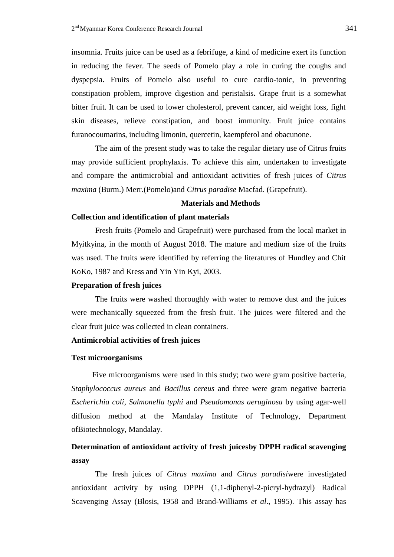insomnia. Fruits juice can be used as a febrifuge, a kind of medicine exert its function in reducing the fever. The seeds of Pomelo play a role in curing the coughs and dyspepsia. Fruits of Pomelo also useful to cure cardio-tonic, in preventing constipation problem, improve digestion and peristalsis**.** Grape fruit is a somewhat bitter fruit. It can be used to lower cholesterol, prevent cancer, aid weight loss, fight skin diseases, relieve constipation, and boost immunity. Fruit juice contains furanocoumarins, including limonin, quercetin, kaempferol and obacunone.

The aim of the present study was to take the regular dietary use of Citrus fruits may provide sufficient prophylaxis. To achieve this aim, undertaken to investigate and compare the antimicrobial and antioxidant activities of fresh juices of *Citrus maxima* (Burm.) Merr.(Pomelo)and *Citrus paradise* Macfad. (Grapefruit).

## **Materials and Methods**

## **Collection and identification of plant materials**

Fresh fruits (Pomelo and Grapefruit) were purchased from the local market in Myitkyina, in the month of August 2018. The mature and medium size of the fruits was used. The fruits were identified by referring the literatures of Hundley and Chit KoKo, 1987 and Kress and Yin Yin Kyi, 2003.

### **Preparation of fresh juices**

The fruits were washed thoroughly with water to remove dust and the juices were mechanically squeezed from the fresh fruit. The juices were filtered and the clear fruit juice was collected in clean containers.

# **Antimicrobial activities of fresh juices**

## **Test microorganisms**

Five microorganisms were used in this study; two were gram positive bacteria, *Staphylococcus aureus* and *Bacillus cereus* and three were gram negative bacteria *Escherichia coli, Salmonella typhi* and *Pseudomonas aeruginosa* by using agar-well diffusion method at the Mandalay Institute of Technology, Department ofBiotechnology, Mandalay.

# **Determination of antioxidant activity of fresh juicesby DPPH radical scavenging assay**

The fresh juices of *Citrus maxima* and *Citrus paradisi*were investigated antioxidant activity by using DPPH (1,1-diphenyl-2-picryl-hydrazyl) Radical Scavenging Assay (Blosis, 1958 and Brand-Williams *et al*., 1995). This assay has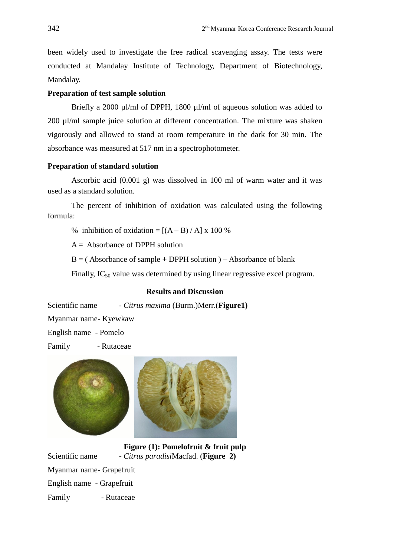been widely used to investigate the free radical scavenging assay. The tests were conducted at Mandalay Institute of Technology, Department of Biotechnology, Mandalay.

# **Preparation of test sample solution**

Briefly a 2000 µl/ml of DPPH, 1800 µl/ml of aqueous solution was added to 200 µl/ml sample juice solution at different concentration. The mixture was shaken vigorously and allowed to stand at room temperature in the dark for 30 min. The absorbance was measured at 517 nm in a spectrophotometer.

# **Preparation of standard solution**

Ascorbic acid (0.001 g) was dissolved in 100 ml of warm water and it was used as a standard solution.

The percent of inhibition of oxidation was calculated using the following formula:

% inhibition of oxidation =  $[(A - B) / A] \times 100$  %

 $A = Absorbance of DPPH solution$ 

 $B = ($  Absorbance of sample + DPPH solution  $) -$  Absorbance of blank

Finally,  $IC_{50}$  value was determined by using linear regressive excel program.

# **Results and Discussion**

Scientific name - *Citrus maxima* (Burm.)Merr.(**Figure1)**

Myanmar name- Kyewkaw

English name - Pomelo

Family - Rutaceae





**Figure (1): Pomelofruit & fruit pulp** Scientific name - *Citrus paradisi*Macfad. (**Figure 2)** Myanmar name- Grapefruit English name - Grapefruit Family - Rutaceae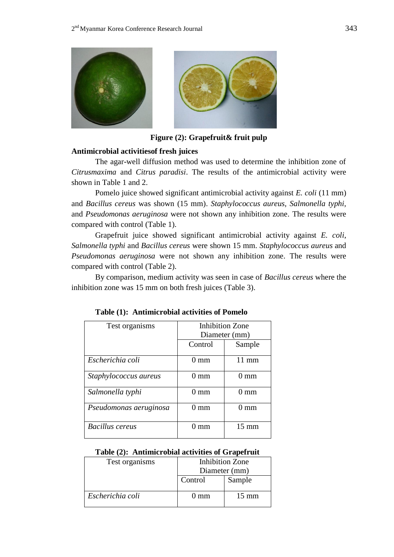

**Figure (2): Grapefruit& fruit pulp**

# **Antimicrobial activitiesof fresh juices**

The agar-well diffusion method was used to determine the inhibition zone of *Citrusmaxima* and *Citrus paradisi*. The results of the antimicrobial activity were shown in Table 1 and 2.

Pomelo juice showed significant antimicrobial activity against *E. coli* (11 mm) and *Bacillus cereus* was shown (15 mm). *Staphylococcus aureus, Salmonella typhi,* and *Pseudomonas aeruginosa* were not shown any inhibition zone. The results were compared with control (Table 1).

Grapefruit juice showed significant antimicrobial activity against *E. coli*, *Salmonella typhi* and *Bacillus cereus* were shown 15 mm. *Staphylococcus aureus* and *Pseudomonas aeruginosa* were not shown any inhibition zone. The results were compared with control (Table 2).

By comparison, medium activity was seen in case of *Bacillus cereus* where the inhibition zone was 15 mm on both fresh juices (Table 3).

| Test organisms         | <b>Inhibition Zone</b> |                 |
|------------------------|------------------------|-----------------|
|                        | Diameter (mm)          |                 |
|                        | Control                | Sample          |
| Escherichia coli       | $0 \text{ mm}$         | $11 \text{ mm}$ |
| Staphylococcus aureus  | 0 mm                   | $0 \text{ mm}$  |
| Salmonella typhi       | 0 mm                   | $0 \text{ mm}$  |
| Pseudomonas aeruginosa | () mm                  | () mm           |
| <b>Bacillus</b> cereus | () mm                  | $15 \text{ mm}$ |

# **Table (2): Antimicrobial activities of Grapefruit**

| Test organisms   | <b>Inhibition Zone</b> |                 |
|------------------|------------------------|-----------------|
|                  | Diameter (mm)          |                 |
|                  | Control                | Sample          |
| Escherichia coli | () mm                  | $15 \text{ mm}$ |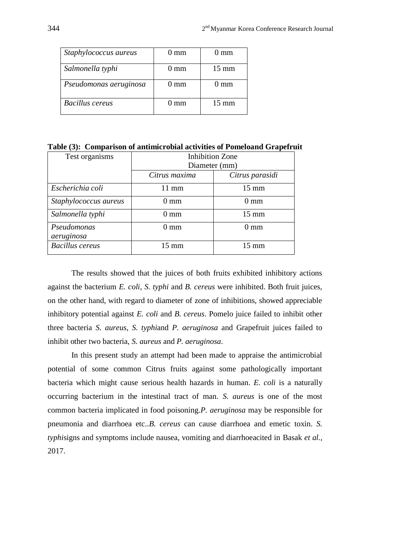| Staphylococcus aureus  | $0 \text{ mm}$ | () mm           |
|------------------------|----------------|-----------------|
| Salmonella typhi       | $()$ mm        | $15 \text{ mm}$ |
| Pseudomonas aeruginosa | $0 \text{ mm}$ | mm              |
| <b>Bacillus</b> cereus | $0 \text{ mm}$ | $15 \text{ mm}$ |

**Table (3): Comparison of antimicrobial activities of Pomeloand Grapefruit**

| Test organisms         | <b>Inhibition Zone</b> |                 |
|------------------------|------------------------|-----------------|
|                        | Diameter (mm)          |                 |
|                        | Citrus maxima          | Citrus parasidi |
| Escherichia coli       | $11 \text{ mm}$        | $15 \text{ mm}$ |
| Staphylococcus aureus  | $0 \text{ mm}$         | $0 \text{ mm}$  |
| Salmonella typhi       | $0 \text{ mm}$         | $15 \text{ mm}$ |
| Pseudomonas            | $0 \text{ mm}$         | $0 \text{ mm}$  |
| aeruginosa             |                        |                 |
| <b>Bacillus</b> cereus | $15 \text{ mm}$        | $15 \text{ mm}$ |

The results showed that the juices of both fruits exhibited inhibitory actions against the bacterium *E. coli*, *S. typhi* and *B. cereus* were inhibited. Both fruit juices, on the other hand, with regard to diameter of zone of inhibitions, showed appreciable inhibitory potential against *E. coli* and *B. cereus*. Pomelo juice failed to inhibit other three bacteria *S. aureus*, *S. typhi*and *P. aeruginosa* and Grapefruit juices failed to inhibit other two bacteria, *S. aureus* and *P. aeruginosa*.

In this present study an attempt had been made to appraise the antimicrobial potential of some common Citrus fruits against some pathologically important bacteria which might cause serious health hazards in human. *E. coli* is a naturally occurring bacterium in the intestinal tract of man. *S. aureus* is one of the most common bacteria implicated in food poisoning*.P. aeruginosa* may be responsible for pneumonia and diarrhoea etc..*B. cereus* can cause diarrhoea and emetic toxin. *S. typhi*signs and symptoms include nausea, vomiting and diarrhoeacited in Basak *et al.,*  2017.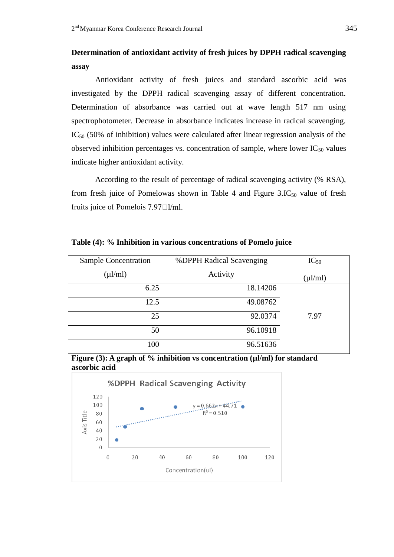# **Determination of antioxidant activity of fresh juices by DPPH radical scavenging assay**

Antioxidant activity of fresh juices and standard ascorbic acid was investigated by the DPPH radical scavenging assay of different concentration. Determination of absorbance was carried out at wave length 517 nm using spectrophotometer. Decrease in absorbance indicates increase in radical scavenging.  $IC<sub>50</sub>$  (50% of inhibition) values were calculated after linear regression analysis of the observed inhibition percentages vs. concentration of sample, where lower  $IC_{50}$  values indicate higher antioxidant activity.

According to the result of percentage of radical scavenging activity (% RSA), from fresh juice of Pomelowas shown in Table 4 and Figure  $3.\text{IC}_{50}$  value of fresh fruits juice of Pomelois  $7.97 \square l/ml$ .

| Sample Concentration | %DPPH Radical Scavenging | $IC_{50}$    |
|----------------------|--------------------------|--------------|
| $(\mu l/ml)$         | Activity                 | $(\mu l/ml)$ |
| 6.25                 | 18.14206                 |              |
| 12.5                 | 49.08762                 |              |
| 25                   | 92.0374                  | 7.97         |
| 50                   | 96.10918                 |              |
| 100                  | 96.51636                 |              |

**Table (4): % Inhibition in various concentrations of Pomelo juice**



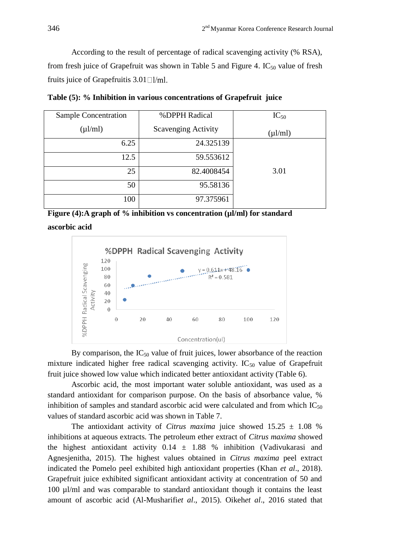According to the result of percentage of radical scavenging activity (% RSA), from fresh juice of Grapefruit was shown in Table 5 and Figure 4.  $IC_{50}$  value of fresh fruits juice of Grapefruitis  $3.01$  [ $\text{l/ml}$ ].

**Table (5): % Inhibition in various concentrations of Grapefruit juice**

| Sample Concentration | %DPPH Radical              | $IC_{50}$    |
|----------------------|----------------------------|--------------|
| $(\mu l/ml)$         | <b>Scavenging Activity</b> | $(\mu l/ml)$ |
| 6.25                 | 24.325139                  |              |
| 12.5                 | 59.553612                  |              |
| 25                   | 82.4008454                 | 3.01         |
| 50                   | 95.58136                   |              |
| 100                  | 97.375961                  |              |

**Figure (4):A graph of % inhibition vs concentration (µl/ml) for standard ascorbic acid**



By comparison, the  $IC_{50}$  value of fruit juices, lower absorbance of the reaction mixture indicated higher free radical scavenging activity.  $IC_{50}$  value of Grapefruit fruit juice showed low value which indicated better antioxidant activity (Table 6).

Ascorbic acid, the most important water soluble antioxidant, was used as a standard antioxidant for comparison purpose. On the basis of absorbance value, % inhibition of samples and standard ascorbic acid were calculated and from which  $IC_{50}$ values of standard ascorbic acid was shown in Table 7.

The antioxidant activity of *Citrus maxima* juice showed  $15.25 \pm 1.08$  % inhibitions at aqueous extracts. The petroleum ether extract of *Citrus maxima* showed the highest antioxidant activity  $0.14 \pm 1.88$  % inhibition (Vadivukarasi and Agnesjenitha, 2015). The highest values obtained in *Citrus maxima* peel extract indicated the Pomelo peel exhibited high antioxidant properties (Khan *et al*., 2018). Grapefruit juice exhibited significant antioxidant activity at concentration of 50 and 100 µl/ml and was comparable to standard antioxidant though it contains the least amount of ascorbic acid (Al-Musharifi*et al*., 2015). Oikeh*et al*., 2016 stated that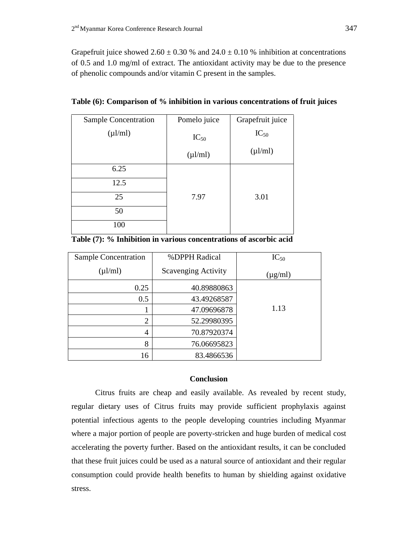Grapefruit juice showed  $2.60 \pm 0.30$  % and  $24.0 \pm 0.10$  % inhibition at concentrations of 0.5 and 1.0 mg/ml of extract. The antioxidant activity may be due to the presence of phenolic compounds and/or vitamin C present in the samples.

| Sample Concentration | Pomelo juice | Grapefruit juice |
|----------------------|--------------|------------------|
| $(\mu l/ml)$         | $IC_{50}$    | $IC_{50}$        |
|                      | $(\mu l/ml)$ | $(\mu l/ml)$     |
| 6.25                 |              |                  |
| 12.5                 |              |                  |
| 25                   | 7.97         | 3.01             |
| 50                   |              |                  |
| 100                  |              |                  |

**Table (6): Comparison of % inhibition in various concentrations of fruit juices**

| Sample Concentration | %DPPH Radical              | $IC_{50}$    |
|----------------------|----------------------------|--------------|
| $(\mu l/ml)$         | <b>Scavenging Activity</b> | $(\mu g/ml)$ |
| 0.25                 | 40.89880863                |              |
| 0.5                  | 43.49268587                |              |
|                      | 47.09696878                | 1.13         |
| $\overline{2}$       | 52.29980395                |              |
| 4                    | 70.87920374                |              |
| 8                    | 76.06695823                |              |
| 16                   | 83.4866536                 |              |

# **Conclusion**

Citrus fruits are cheap and easily available. As revealed by recent study, regular dietary uses of Citrus fruits may provide sufficient prophylaxis against potential infectious agents to the people developing countries including Myanmar where a major portion of people are poverty-stricken and huge burden of medical cost accelerating the poverty further. Based on the antioxidant results, it can be concluded that these fruit juices could be used as a natural source of antioxidant and their regular consumption could provide health benefits to human by shielding against oxidative stress.